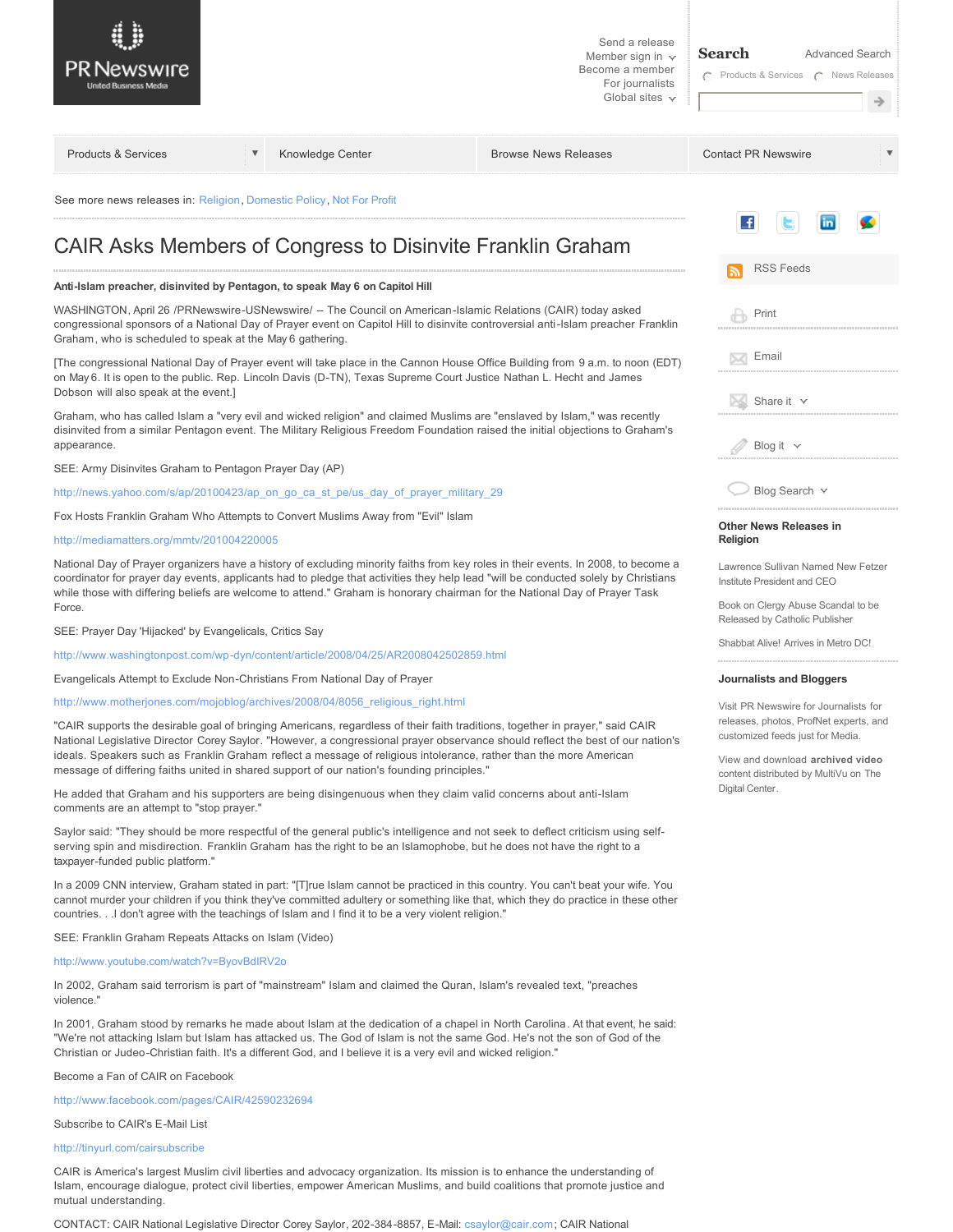| PR Newswire                                                                                                                                                                                                                                                                                                                                                                                                                                                                          |   |                  | Send a release<br>Member sign in $\sim$<br>Become a member<br>For journalists<br>Global sites $\sim$ | <b>Search</b><br><b>Advanced Search</b><br>C Products & Services C News Releases                                                                                                                                    |
|--------------------------------------------------------------------------------------------------------------------------------------------------------------------------------------------------------------------------------------------------------------------------------------------------------------------------------------------------------------------------------------------------------------------------------------------------------------------------------------|---|------------------|------------------------------------------------------------------------------------------------------|---------------------------------------------------------------------------------------------------------------------------------------------------------------------------------------------------------------------|
| <b>Products &amp; Services</b>                                                                                                                                                                                                                                                                                                                                                                                                                                                       | ▼ | Knowledge Center | <b>Browse News Releases</b>                                                                          | <b>Contact PR Newswire</b>                                                                                                                                                                                          |
| See more news releases in: Religion, Domestic Policy, Not For Profit                                                                                                                                                                                                                                                                                                                                                                                                                 |   |                  |                                                                                                      |                                                                                                                                                                                                                     |
| CAIR Asks Members of Congress to Disinvite Franklin Graham                                                                                                                                                                                                                                                                                                                                                                                                                           |   |                  |                                                                                                      | L£.                                                                                                                                                                                                                 |
|                                                                                                                                                                                                                                                                                                                                                                                                                                                                                      |   |                  |                                                                                                      | <b>RSS Feeds</b>                                                                                                                                                                                                    |
| Anti-Islam preacher, disinvited by Pentagon, to speak May 6 on Capitol Hill                                                                                                                                                                                                                                                                                                                                                                                                          |   |                  |                                                                                                      |                                                                                                                                                                                                                     |
| WASHINGTON, April 26 /PRNewswire-USNewswire/ -- The Council on American-Islamic Relations (CAIR) today asked<br>congressional sponsors of a National Day of Prayer event on Capitol Hill to disinvite controversial anti-Islam preacher Franklin<br>Graham, who is scheduled to speak at the May 6 gathering.                                                                                                                                                                        |   |                  |                                                                                                      | Print                                                                                                                                                                                                               |
| [The congressional National Day of Prayer event will take place in the Cannon House Office Building from 9 a.m. to noon (EDT)<br>on May 6. It is open to the public. Rep. Lincoln Davis (D-TN), Texas Supreme Court Justice Nathan L. Hecht and James<br>Dobson will also speak at the event.]                                                                                                                                                                                       |   |                  |                                                                                                      | Email<br>52                                                                                                                                                                                                         |
| Graham, who has called Islam a "very evil and wicked religion" and claimed Muslims are "enslaved by Islam," was recently<br>disinvited from a similar Pentagon event. The Military Religious Freedom Foundation raised the initial objections to Graham's<br>appearance.                                                                                                                                                                                                             |   |                  |                                                                                                      | $\blacksquare$ Share it $\smile$<br>Blog it $\vee$                                                                                                                                                                  |
| SEE: Army Disinvites Graham to Pentagon Prayer Day (AP)                                                                                                                                                                                                                                                                                                                                                                                                                              |   |                  |                                                                                                      |                                                                                                                                                                                                                     |
| http://news.yahoo.com/s/ap/20100423/ap_on_go_ca_st_pe/us_day_of_prayer_military_29                                                                                                                                                                                                                                                                                                                                                                                                   |   |                  |                                                                                                      | Blog Search v                                                                                                                                                                                                       |
| Fox Hosts Franklin Graham Who Attempts to Convert Muslims Away from "Evil" Islam                                                                                                                                                                                                                                                                                                                                                                                                     |   |                  |                                                                                                      |                                                                                                                                                                                                                     |
| http://mediamatters.org/mmtv/201004220005                                                                                                                                                                                                                                                                                                                                                                                                                                            |   |                  |                                                                                                      | <b>Other News Releases in</b><br>Religion                                                                                                                                                                           |
| National Day of Prayer organizers have a history of excluding minority faiths from key roles in their events. In 2008, to become a<br>coordinator for prayer day events, applicants had to pledge that activities they help lead "will be conducted solely by Christians<br>while those with differing beliefs are welcome to attend." Graham is honorary chairman for the National Day of Prayer Task<br>Force.                                                                     |   |                  |                                                                                                      | Lawrence Sullivan Named New Fetzer<br>Institute President and CEO<br>Book on Clergy Abuse Scandal to be                                                                                                             |
| SEE: Prayer Day 'Hijacked' by Evangelicals, Critics Say                                                                                                                                                                                                                                                                                                                                                                                                                              |   |                  |                                                                                                      | Released by Catholic Publisher<br>Shabbat Alive! Arrives in Metro DC!                                                                                                                                               |
| http://www.washingtonpost.com/wp-dyn/content/article/2008/04/25/AR2008042502859.html                                                                                                                                                                                                                                                                                                                                                                                                 |   |                  |                                                                                                      |                                                                                                                                                                                                                     |
| Evangelicals Attempt to Exclude Non-Christians From National Day of Prayer                                                                                                                                                                                                                                                                                                                                                                                                           |   |                  |                                                                                                      | <b>Journalists and Bloggers</b>                                                                                                                                                                                     |
| http://www.motherjones.com/mojoblog/archives/2008/04/8056_religious_right.html                                                                                                                                                                                                                                                                                                                                                                                                       |   |                  |                                                                                                      | Visit PR Newswire for Journalists for<br>releases, photos, ProfNet experts, and<br>customized feeds just for Media.<br>View and download archived video<br>content distributed by MultiVu on The<br>Digital Center. |
| "CAIR supports the desirable goal of bringing Americans, regardless of their faith traditions, together in prayer," said CAIR<br>National Legislative Director Corey Saylor. "However, a congressional prayer observance should reflect the best of our nation's<br>ideals. Speakers such as Franklin Graham reflect a message of religious intolerance, rather than the more American<br>message of differing faiths united in shared support of our nation's founding principles." |   |                  |                                                                                                      |                                                                                                                                                                                                                     |
| He added that Graham and his supporters are being disingenuous when they claim valid concerns about anti-Islam<br>comments are an attempt to "stop prayer."                                                                                                                                                                                                                                                                                                                          |   |                  |                                                                                                      |                                                                                                                                                                                                                     |
| Saylor said: "They should be more respectful of the general public's intelligence and not seek to deflect criticism using self-<br>serving spin and misdirection. Franklin Graham has the right to be an Islamophobe, but he does not have the right to a<br>taxpayer-funded public platform."                                                                                                                                                                                       |   |                  |                                                                                                      |                                                                                                                                                                                                                     |
| In a 2009 CNN interview, Graham stated in part: "[T]rue Islam cannot be practiced in this country. You can't beat your wife. You<br>cannot murder your children if you think they've committed adultery or something like that, which they do practice in these other<br>countries.I don't agree with the teachings of Islam and I find it to be a very violent religion."                                                                                                           |   |                  |                                                                                                      |                                                                                                                                                                                                                     |
| SEE: Franklin Graham Repeats Attacks on Islam (Video)                                                                                                                                                                                                                                                                                                                                                                                                                                |   |                  |                                                                                                      |                                                                                                                                                                                                                     |
| http://www.youtube.com/watch?v=ByovBdIRV2o                                                                                                                                                                                                                                                                                                                                                                                                                                           |   |                  |                                                                                                      |                                                                                                                                                                                                                     |

In 2002, Graham said terrorism is part of "mainstream" Islam and claimed the Quran, Islam's revealed text, "preaches violence."

In 2001, Graham stood by remarks he made about Islam at the dedication of a chapel in North Carolina. At that event, he said: "We're not attacking Islam but Islam has attacked us. The God of Islam is not the same God. He's not the son of God of the Christian or Judeo-Christian faith. It's a different God, and I believe it is a very evil and wicked religion."

Become a Fan of CAIR on Facebook

<http://www.facebook.com/pages/CAIR/42590232694>

Subscribe to CAIR's E-Mail List

<http://tinyurl.com/cairsubscribe>

CAIR is America's largest Muslim civil liberties and advocacy organization. Its mission is to enhance the understanding of Islam, encourage dialogue, protect civil liberties, empower American Muslims, and build coalitions that promote justice and mutual understanding.

CONTACT: CAIR National Legislative Director Corey Saylor, 2023848857, EMail: [csaylor@cair.com](mailto:csaylor@cair.com); CAIR National